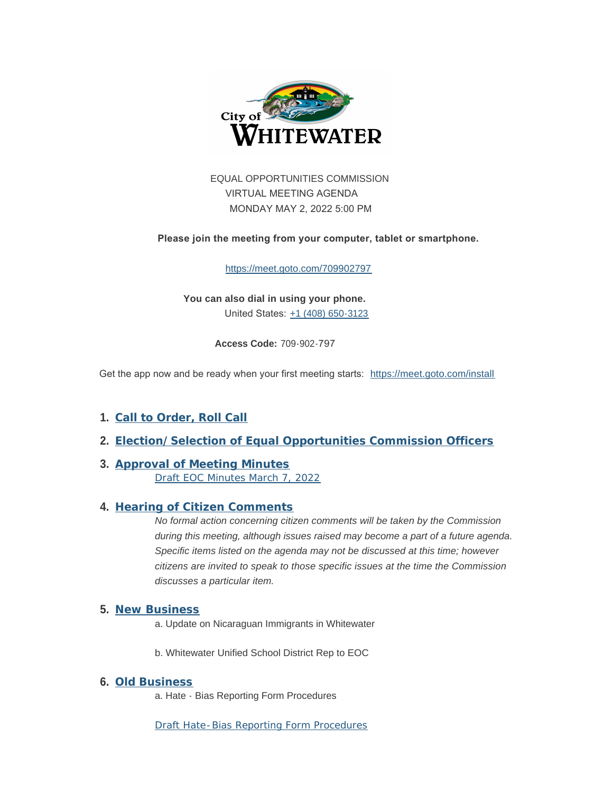

EQUAL OPPORTUNITIES COMMISSION VIRTUAL MEETING AGENDA MONDAY MAY 2, 2022 5:00 PM

 **Please join the meeting from your computer, tablet or smartphone.** 

<https://meet.goto.com/709902797>

**You can also dial in using your phone.** United States: [+1 \(408\) 650-3123](tel:+14086503123,,709902797#)

**Access Code:** 709-902-797

Get the app now and be ready when your first meeting starts: <https://meet.goto.com/install>

- **Call to Order, Roll Call 1.**
- **Election/Selection of Equal Opportunities Commission Officers 2.**
- **Approval of Meeting Minutes 3.** [Draft EOC Minutes March 7, 2022](https://www.whitewater-wi.gov/DocumentCenter/View/2876)

# **Hearing of Citizen Comments 4.**

*No formal action concerning citizen comments will be taken by the Commission during this meeting, although issues raised may become a part of a future agenda. Specific items listed on the agenda may not be discussed at this time; however citizens are invited to speak to those specific issues at the time the Commission discusses a particular item.*

#### **New Business 5.**

a. Update on Nicaraguan Immigrants in Whitewater

b. Whitewater Unified School District Rep to EOC

#### **Old Business 6.**

a. Hate - Bias Reporting Form Procedures

[Draft Hate-Bias Reporting Form Procedures](https://www.whitewater-wi.gov/DocumentCenter/View/2879)